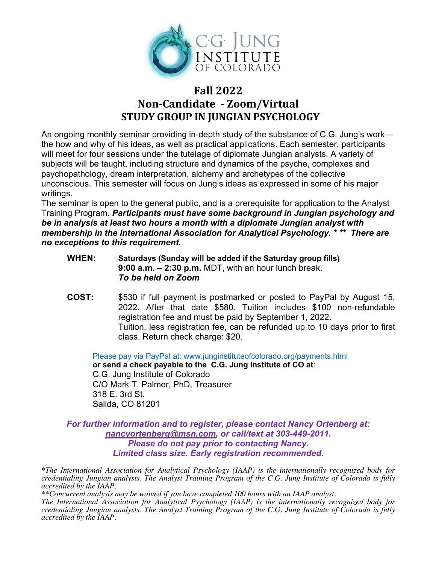

# **Fall 2022 Non-Candidate - Zoom/Virtual STUDY GROUP IN JUNGIAN PSYCHOLOGY**

An ongoing monthly seminar providing in-depth study of the substance of C.G. Jung's work the how and why of his ideas, as well as practical applications. Each semester, participants will meet for four sessions under the tutelage of diplomate Jungian analysts. A variety of subjects will be taught, including structure and dynamics of the psyche, complexes and psychopathology, dream interpretation, alchemy and archetypes of the collective unconscious. This semester will focus on Jung's ideas as expressed in some of his major writings.

The seminar is open to the general public, and is a prerequisite for application to the Analyst Training Program. *Participants must have some background in Jungian psychology and be in analysis at least two hours a month with a diplomate Jungian analyst with membership in the International Association for Analytical Psychology. \* \*\* There are no exceptions to this requirement.*

- **WHEN: Saturdays (Sunday will be added if the Saturday group fills) 9:00 a.m. – 2:30 p.m.** MDT, with an hour lunch break. *To be held on Zoom*
- **COST:** \$530 if full payment is postmarked or posted to PayPal by August 15, 2022. After that date \$580. Tuition includes \$100 non-refundable registration fee and must be paid by September 1, 2022. Tuition, less registration fee, can be refunded up to 10 days prior to first class. Return check charge: \$20.

Please pay via PayPal at: www.junginstituteofcolorado.org/payments.html **or send a check payable to the C.G. Jung Institute of CO at**: C.G. Jung Institute of Colorado C/O Mark T. Palmer, PhD, Treasurer 318 E. 3rd St. Salida, CO 81201

*For further information and to register, please contact Nancy Ortenberg at: nancyortenberg@msn.com, or call/text at 303-449-2011. Please do not pay prior to contacting Nancy. Limited class size. Early registration recommended.*

*\*The International Association for Analytical Psychology (IAAP) is the internationally recognized body for credentialing Jungian analysts. The Analyst Training Program of the C.G. Jung Institute of Colorado is fully accredited by the IAAP.* 

*\*\*Concurrent analysis may be waived if you have completed 100 hours with an IAAP analyst. The International Association for Analytical Psychology (IAAP) is the internationally recognized body for credentialing Jungian analysts. The Analyst Training Program of the C.G. Jung Institute of Colorado is fully accredited by the IAAP.*